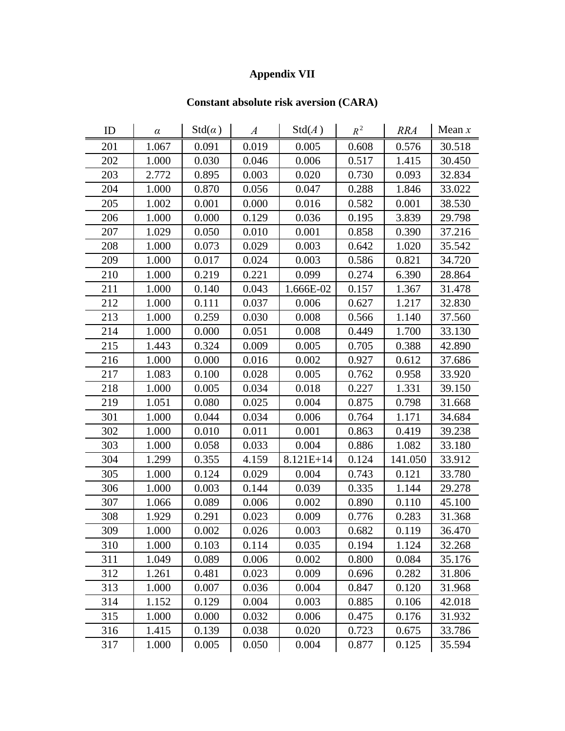## **Appendix VII**

## **Constant absolute risk aversion (CARA)**

| ID  | $\alpha$ | $Std(\alpha)$ | $\boldsymbol{A}$ | $\mathrm{Std}(A)$ | $R^2$ | <b>RRA</b> | Mean $x$ |
|-----|----------|---------------|------------------|-------------------|-------|------------|----------|
| 201 | 1.067    | 0.091         | 0.019            | 0.005             | 0.608 | 0.576      | 30.518   |
| 202 | 1.000    | 0.030         | 0.046            | 0.006             | 0.517 | 1.415      | 30.450   |
| 203 | 2.772    | 0.895         | 0.003            | 0.020             | 0.730 | 0.093      | 32.834   |
| 204 | 1.000    | 0.870         | 0.056            | 0.047             | 0.288 | 1.846      | 33.022   |
| 205 | 1.002    | 0.001         | 0.000            | 0.016             | 0.582 | 0.001      | 38.530   |
| 206 | 1.000    | 0.000         | 0.129            | 0.036             | 0.195 | 3.839      | 29.798   |
| 207 | 1.029    | 0.050         | 0.010            | 0.001             | 0.858 | 0.390      | 37.216   |
| 208 | 1.000    | 0.073         | 0.029            | 0.003             | 0.642 | 1.020      | 35.542   |
| 209 | 1.000    | 0.017         | 0.024            | 0.003             | 0.586 | 0.821      | 34.720   |
| 210 | 1.000    | 0.219         | 0.221            | 0.099             | 0.274 | 6.390      | 28.864   |
| 211 | 1.000    | 0.140         | 0.043            | 1.666E-02         | 0.157 | 1.367      | 31.478   |
| 212 | 1.000    | 0.111         | 0.037            | 0.006             | 0.627 | 1.217      | 32.830   |
| 213 | 1.000    | 0.259         | 0.030            | 0.008             | 0.566 | 1.140      | 37.560   |
| 214 | 1.000    | 0.000         | 0.051            | 0.008             | 0.449 | 1.700      | 33.130   |
| 215 | 1.443    | 0.324         | 0.009            | 0.005             | 0.705 | 0.388      | 42.890   |
| 216 | 1.000    | 0.000         | 0.016            | 0.002             | 0.927 | 0.612      | 37.686   |
| 217 | 1.083    | 0.100         | 0.028            | 0.005             | 0.762 | 0.958      | 33.920   |
| 218 | 1.000    | 0.005         | 0.034            | 0.018             | 0.227 | 1.331      | 39.150   |
| 219 | 1.051    | 0.080         | 0.025            | 0.004             | 0.875 | 0.798      | 31.668   |
| 301 | 1.000    | 0.044         | 0.034            | 0.006             | 0.764 | 1.171      | 34.684   |
| 302 | 1.000    | 0.010         | 0.011            | 0.001             | 0.863 | 0.419      | 39.238   |
| 303 | 1.000    | 0.058         | 0.033            | 0.004             | 0.886 | 1.082      | 33.180   |
| 304 | 1.299    | 0.355         | 4.159            | 8.121E+14         | 0.124 | 141.050    | 33.912   |
| 305 | 1.000    | 0.124         | 0.029            | 0.004             | 0.743 | 0.121      | 33.780   |
| 306 | 1.000    | 0.003         | 0.144            | 0.039             | 0.335 | 1.144      | 29.278   |
| 307 | 1.066    | 0.089         | 0.006            | 0.002             | 0.890 | 0.110      | 45.100   |
| 308 | 1.929    | 0.291         | 0.023            | 0.009             | 0.776 | 0.283      | 31.368   |
| 309 | 1.000    | 0.002         | 0.026            | 0.003             | 0.682 | 0.119      | 36.470   |
| 310 | 1.000    | 0.103         | 0.114            | 0.035             | 0.194 | 1.124      | 32.268   |
| 311 | 1.049    | 0.089         | 0.006            | 0.002             | 0.800 | 0.084      | 35.176   |
| 312 | 1.261    | 0.481         | 0.023            | 0.009             | 0.696 | 0.282      | 31.806   |
| 313 | 1.000    | 0.007         | 0.036            | 0.004             | 0.847 | 0.120      | 31.968   |
| 314 | 1.152    | 0.129         | 0.004            | 0.003             | 0.885 | 0.106      | 42.018   |
| 315 | 1.000    | 0.000         | 0.032            | 0.006             | 0.475 | 0.176      | 31.932   |
| 316 | 1.415    | 0.139         | 0.038            | 0.020             | 0.723 | 0.675      | 33.786   |
| 317 | 1.000    | 0.005         | 0.050            | 0.004             | 0.877 | 0.125      | 35.594   |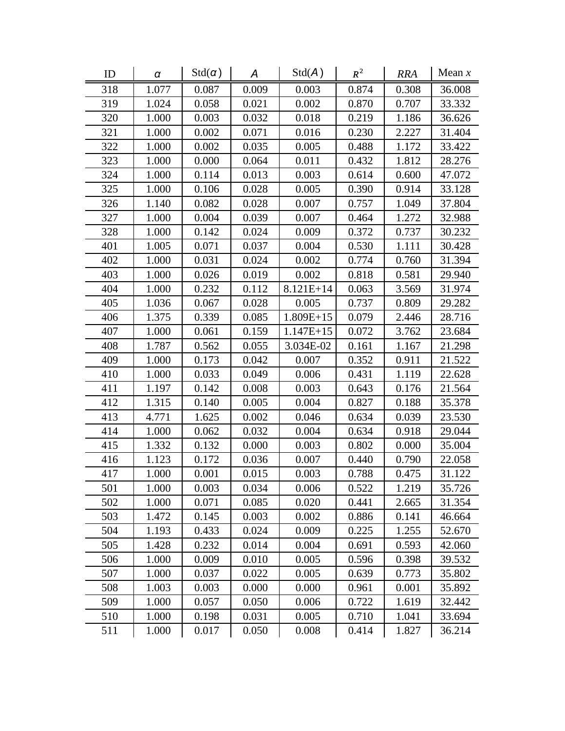| ID  | $\alpha$ | $Std(\alpha)$ | A     | Std(A)      | $R^2$ | <b>RRA</b> | Mean $x$ |
|-----|----------|---------------|-------|-------------|-------|------------|----------|
| 318 | 1.077    | 0.087         | 0.009 | 0.003       | 0.874 | 0.308      | 36.008   |
| 319 | 1.024    | 0.058         | 0.021 | 0.002       | 0.870 | 0.707      | 33.332   |
| 320 | 1.000    | 0.003         | 0.032 | 0.018       | 0.219 | 1.186      | 36.626   |
| 321 | 1.000    | 0.002         | 0.071 | 0.016       | 0.230 | 2.227      | 31.404   |
| 322 | 1.000    | 0.002         | 0.035 | 0.005       | 0.488 | 1.172      | 33.422   |
| 323 | 1.000    | 0.000         | 0.064 | 0.011       | 0.432 | 1.812      | 28.276   |
| 324 | 1.000    | 0.114         | 0.013 | 0.003       | 0.614 | 0.600      | 47.072   |
| 325 | 1.000    | 0.106         | 0.028 | 0.005       | 0.390 | 0.914      | 33.128   |
| 326 | 1.140    | 0.082         | 0.028 | 0.007       | 0.757 | 1.049      | 37.804   |
| 327 | 1.000    | 0.004         | 0.039 | 0.007       | 0.464 | 1.272      | 32.988   |
| 328 | 1.000    | 0.142         | 0.024 | 0.009       | 0.372 | 0.737      | 30.232   |
| 401 | 1.005    | 0.071         | 0.037 | 0.004       | 0.530 | 1.111      | 30.428   |
| 402 | 1.000    | 0.031         | 0.024 | 0.002       | 0.774 | 0.760      | 31.394   |
| 403 | 1.000    | 0.026         | 0.019 | 0.002       | 0.818 | 0.581      | 29.940   |
| 404 | 1.000    | 0.232         | 0.112 | 8.121E+14   | 0.063 | 3.569      | 31.974   |
| 405 | 1.036    | 0.067         | 0.028 | 0.005       | 0.737 | 0.809      | 29.282   |
| 406 | 1.375    | 0.339         | 0.085 | $1.809E+15$ | 0.079 | 2.446      | 28.716   |
| 407 | 1.000    | 0.061         | 0.159 | $1.147E+15$ | 0.072 | 3.762      | 23.684   |
| 408 | 1.787    | 0.562         | 0.055 | 3.034E-02   | 0.161 | 1.167      | 21.298   |
| 409 | 1.000    | 0.173         | 0.042 | 0.007       | 0.352 | 0.911      | 21.522   |
| 410 | 1.000    | 0.033         | 0.049 | 0.006       | 0.431 | 1.119      | 22.628   |
| 411 | 1.197    | 0.142         | 0.008 | 0.003       | 0.643 | 0.176      | 21.564   |
| 412 | 1.315    | 0.140         | 0.005 | 0.004       | 0.827 | 0.188      | 35.378   |
| 413 | 4.771    | 1.625         | 0.002 | 0.046       | 0.634 | 0.039      | 23.530   |
| 414 | 1.000    | 0.062         | 0.032 | 0.004       | 0.634 | 0.918      | 29.044   |
| 415 | 1.332    | 0.132         | 0.000 | 0.003       | 0.802 | 0.000      | 35.004   |
| 416 | 1.123    | 0.172         | 0.036 | 0.007       | 0.440 | 0.790      | 22.058   |
| 417 | 1.000    | 0.001         | 0.015 | 0.003       | 0.788 | 0.475      | 31.122   |
| 501 | 1.000    | 0.003         | 0.034 | 0.006       | 0.522 | 1.219      | 35.726   |
| 502 | 1.000    | 0.071         | 0.085 | 0.020       | 0.441 | 2.665      | 31.354   |
| 503 | 1.472    | 0.145         | 0.003 | 0.002       | 0.886 | 0.141      | 46.664   |
| 504 | 1.193    | 0.433         | 0.024 | 0.009       | 0.225 | 1.255      | 52.670   |
| 505 | 1.428    | 0.232         | 0.014 | 0.004       | 0.691 | 0.593      | 42.060   |
| 506 | 1.000    | 0.009         | 0.010 | 0.005       | 0.596 | 0.398      | 39.532   |
| 507 | 1.000    | 0.037         | 0.022 | 0.005       | 0.639 | 0.773      | 35.802   |
| 508 | 1.003    | 0.003         | 0.000 | 0.000       | 0.961 | 0.001      | 35.892   |
| 509 | 1.000    | 0.057         | 0.050 | 0.006       | 0.722 | 1.619      | 32.442   |
| 510 | 1.000    | 0.198         | 0.031 | 0.005       | 0.710 | 1.041      | 33.694   |
| 511 | 1.000    | 0.017         | 0.050 | 0.008       | 0.414 | 1.827      | 36.214   |